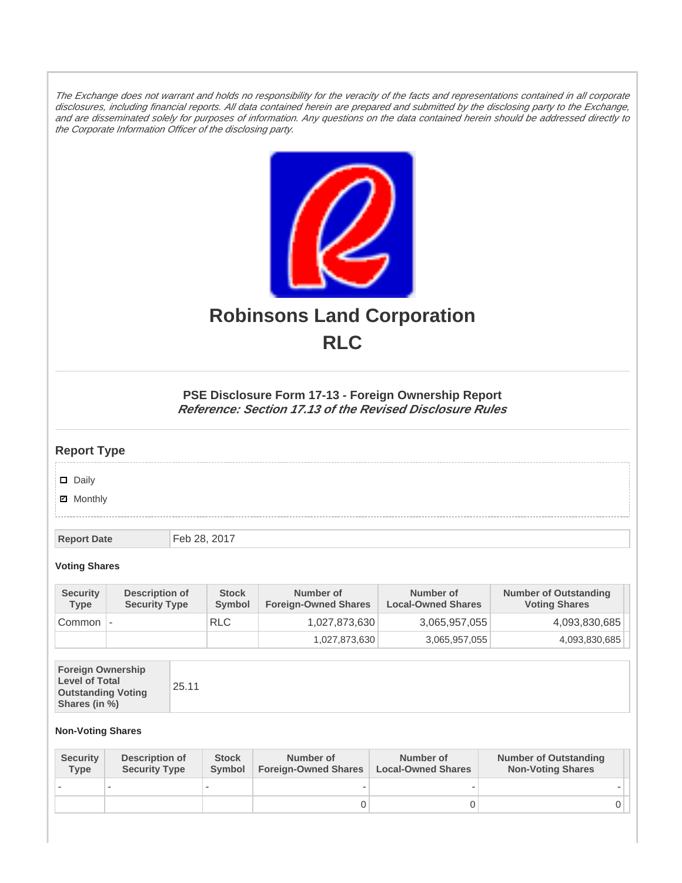The Exchange does not warrant and holds no responsibility for the veracity of the facts and representations contained in all corporate disclosures, including financial reports. All data contained herein are prepared and submitted by the disclosing party to the Exchange, and are disseminated solely for purposes of information. Any questions on the data contained herein should be addressed directly to the Corporate Information Officer of the disclosing party.



# **Robinsons Land Corporation RLC**

## **PSE Disclosure Form 17-13 - Foreign Ownership Report Reference: Section 17.13 of the Revised Disclosure Rules**

## **Report Type**

Daily

**Ø** Monthly

**Report Date** Feb 28, 2017

#### **Voting Shares**

| <b>Security</b><br><b>Type</b> | Description of<br><b>Security Type</b> | <b>Stock</b><br>Symbol | Number of<br><b>Foreign-Owned Shares</b> | Number of<br><b>Local-Owned Shares</b> | <b>Number of Outstanding</b><br><b>Voting Shares</b> |
|--------------------------------|----------------------------------------|------------------------|------------------------------------------|----------------------------------------|------------------------------------------------------|
| Common                         |                                        | <b>RLC</b>             | 1,027,873,630                            | 3,065,957,055                          | 4,093,830,685                                        |
|                                |                                        |                        | 1,027,873,630                            | 3,065,957,055                          | 4,093,830,685                                        |

| <b>Foreign Ownership</b><br><b>Level of Total</b><br>25.11<br><b>Outstanding Voting</b><br>Shares (in %) |  |
|----------------------------------------------------------------------------------------------------------|--|
|----------------------------------------------------------------------------------------------------------|--|

### **Non-Voting Shares**

| <b>Security</b><br><b>Type</b> | Description of<br><b>Security Type</b> | <b>Stock</b><br>Symbol | Number of<br><b>Foreign-Owned Shares</b> | Number of<br><b>Local-Owned Shares</b> | <b>Number of Outstanding</b><br><b>Non-Voting Shares</b> |
|--------------------------------|----------------------------------------|------------------------|------------------------------------------|----------------------------------------|----------------------------------------------------------|
|                                |                                        |                        |                                          |                                        |                                                          |
|                                |                                        |                        |                                          |                                        | JІ                                                       |